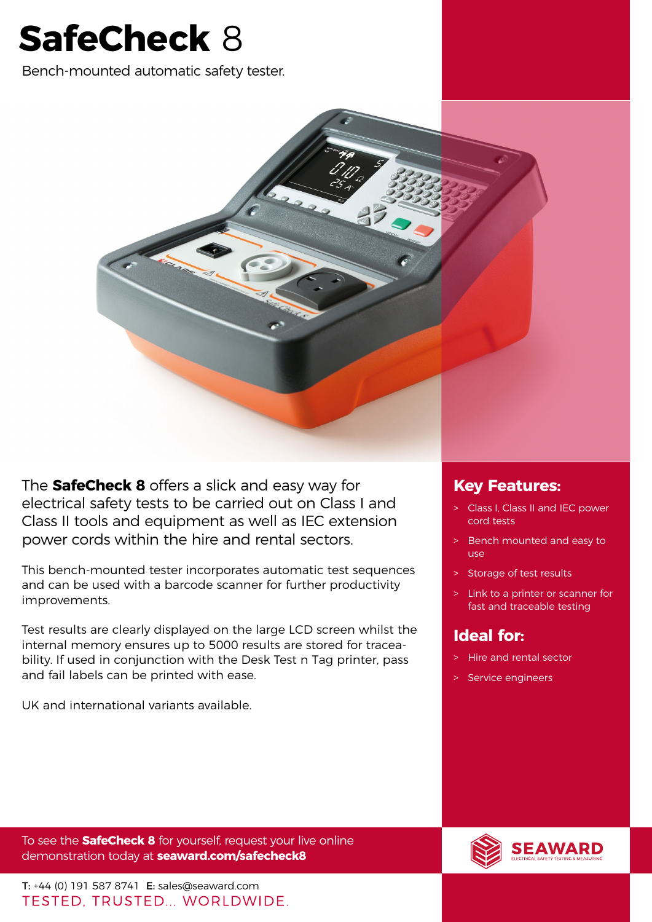# **SafeCheck** 8

Bench-mounted automatic safety tester.



The **SafeCheck 8** offers a slick and easy way for electrical safety tests to be carried out on Class I and Class II tools and equipment as well as IEC extension power cords within the hire and rental sectors.

This bench-mounted tester incorporates automatic test sequences and can be used with a barcode scanner for further productivity improvements.

Test results are clearly displayed on the large LCD screen whilst the internal memory ensures up to 5000 results are stored for traceability. If used in conjunction with the Desk Test n Tag printer, pass and fail labels can be printed with ease.

UK and international variants available.

## **Key Features:**

- > Class I, Class II and IEC power cord tests
- > Bench mounted and easy to use
- > Storage of test results
- > Link to a printer or scanner for fast and traceable testing

## **Ideal for:**

- > Hire and rental sector
- > Service engineers

To see the **SafeCheck 8** for yourself, request your live online demonstration today at **[seaward.com/safecheck8](http://seaward.com/safecheck8)**

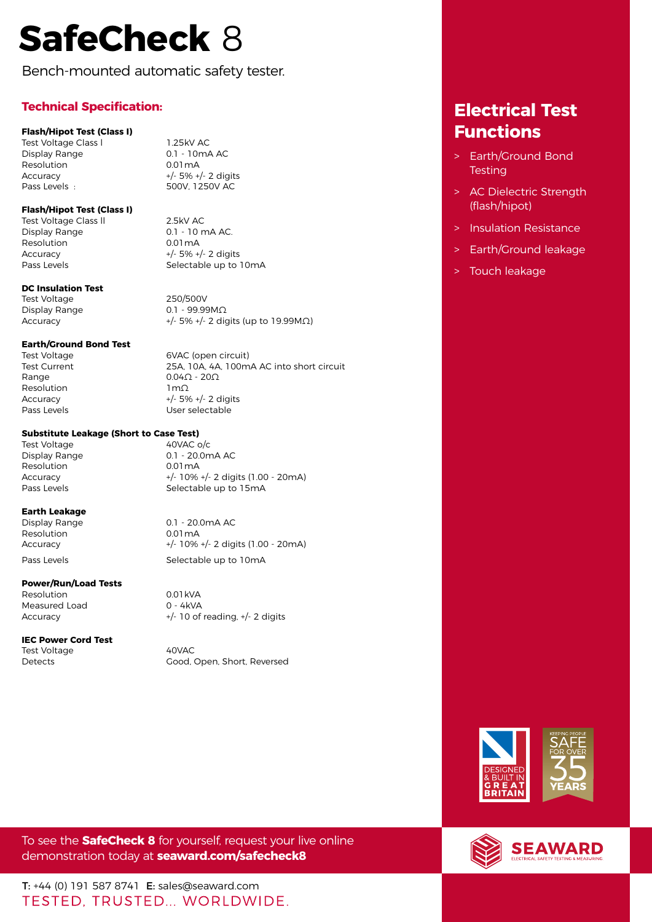# **SafeCheck** 8

Bench-mounted automatic safety tester.

## **Technical Specification:**

## **Flash/Hipot Test (Class I)**

Test Voltage Class I and 1.25kV AC<br>
Display Range and B and 1.10mA AC Display Range Resolution 0.01mA Accuracy +/- 5% +/- 2 digits Pass Levels : 500V, 1250V AC

## **Flash/Hipot Test (Class I)**

Test Voltage Class II 2.5kV AC Display Range 0.1 - 10 mA AC. Resolution 0.01 mA Accuracy  $+/- 5\% +/- 2$  digits<br>Pass Levels Selectable up to

## **DC Insulation Test**

Test Voltage 250/500V Display Range 0.1 - 99.99ΜΩ

Selectable up to 10mA

 $\text{Accuracy}$  +/- 5% +/- 2 digits (up to 19.99M $\Omega$ )

## **Earth/Ground Bond Test**

Test Voltage **6VAC** (open circuit) Range  $0.04\Omega - 20\Omega$ Resolution 1mΩ

Test Current 25A, 10A, 4A, 100mA AC into short circuit Accuracy +/- 5% +/- 2 digits Pass Levels **Exercise Exercise Exercise User selectable** 

## **Substitute Leakage (Short to Case Test)**

Test Voltage and A0VAC o/c Resolution 0.01 mA

Display Range 0.1 - 20.0mA AC Accuracy +/- 10% +/- 2 digits (1.00 - 20mA) Pass Levels Selectable up to 15mA

## **Earth Leakage**

Resolution 0.01 mA

0.1 - 20.0mA AC

## **Power/Run/Load Tests**

Resolution 0.01 kVA<br>Measured Load 0 - 4 kVA Measured Load

## **IEC Power Cord Test**

Test Voltage 40VAC

Accuracy +/- 10% +/- 2 digits (1.00 - 20mA) Pass Levels **Selectable up to 10mA** 

Accuracy +/- 10 of reading, +/- 2 digits

Detects Good, Open, Short, Reversed

## **Functions** > Earth/Ground Bond **Testing**

**Electrical Test** 

- > AC Dielectric Strength (flash/hipot)
- > Insulation Resistance
- > Earth/Ground leakage
- > Touch leakage



To see the **SafeCheck 8** for yourself, request your live online demonstration today at **[seaward.com/safecheck8](http://seaward.com/safecheck8)**